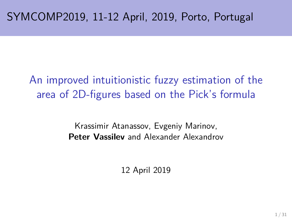# An improved intuitionistic fuzzy estimation of the area of 2D-figures based on the Pick's formula

Krassimir Atanassov, Evgeniy Marinov, **Peter Vassilev** and Alexander Alexandrov

12 April 2019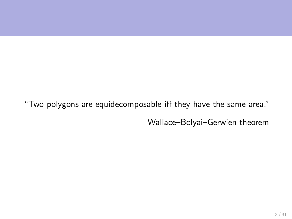"Two polygons are equidecomposable iff they have the same area."

Wallace–Bolyai–Gerwien theorem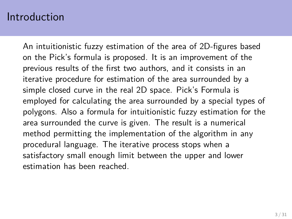#### Introduction

An intuitionistic fuzzy estimation of the area of 2D-figures based on the Pick's formula is proposed. It is an improvement of the previous results of the first two authors, and it consists in an iterative procedure for estimation of the area surrounded by a simple closed curve in the real 2D space. Pick's Formula is employed for calculating the area surrounded by a special types of polygons. Also a formula for intuitionistic fuzzy estimation for the area surrounded the curve is given. The result is a numerical method permitting the implementation of the algorithm in any procedural language. The iterative process stops when a satisfactory small enough limit between the upper and lower estimation has been reached.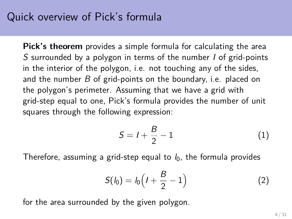### Quick overview of Pick's formula

**Pick's theorem** provides a simple formula for calculating the area S surrounded by a polygon in terms of the number I of grid-points in the interior of the polygon, i.e. not touching any of the sides, and the number  $B$  of grid-points on the boundary, i.e. placed on the polygon's perimeter. Assuming that we have a grid with grid-step equal to one, Pick's formula provides the number of unit squares through the following expression:

$$
S = l + \frac{B}{2} - 1
$$
 (1)

Therefore, assuming a grid-step equal to  $l_0$ , the formula provides

$$
S(l_0) = l_0 \Big( l + \frac{B}{2} - 1 \Big) \tag{2}
$$

for the area surrounded by the given polygon.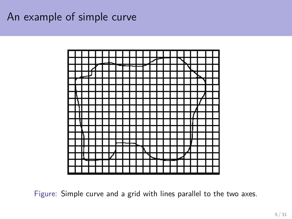## An example of simple curve



<span id="page-4-0"></span>Figure: Simple curve and a grid with lines parallel to the two axes.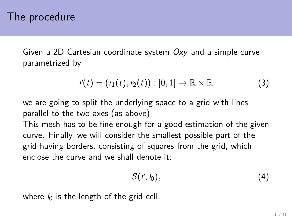### The procedure

Given a 2D Cartesian coordinate system  $Oxy$  and a simple curve parametrized by

$$
\vec{r}(t)=(r_1(t),r_2(t)):[0,1]\rightarrow\mathbb{R}\times\mathbb{R}
$$
 (3)

we are going to split the underlying space to a grid with lines parallel to the two axes (as above)

This mesh has to be fine enough for a good estimation of the given curve. Finally, we will consider the smallest possible part of the grid having borders, consisting of squares from the grid, which enclose the curve and we shall denote it:

$$
\mathcal{S}(\vec{r},l_0),\tag{4}
$$

where  $l_0$  is the length of the grid cell.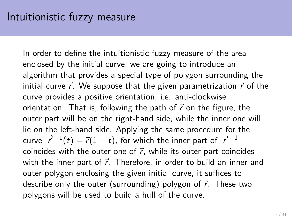In order to define the intuitionistic fuzzy measure of the area enclosed by the initial curve, we are going to introduce an algorithm that provides a special type of polygon surrounding the initial curve  $\vec{r}$ . We suppose that the given parametrization  $\vec{r}$  of the curve provides a positive orientation, i.e. anti-clockwise orientation. That is, following the path of  $\vec{r}$  on the figure, the outer part will be on the right-hand side, while the inner one will lie on the left-hand side. Applying the same procedure for the curve  $\overrightarrow{r}^{-1}(t) = \overrightarrow{r}(1-t)$ , for which the inner part of  $\overrightarrow{r}^{-1}$ coincides with the outer one of  $\vec{r}$ , while its outer part coincides with the inner part of  $\vec{r}$ . Therefore, in order to build an inner and outer polygon enclosing the given initial curve, it suffices to describe only the outer (surrounding) polygon of  $\vec{r}$ . These two polygons will be used to build a hull of the curve.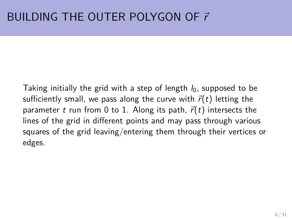# BUILDING THE OUTER POLYGON OF  $\vec{r}$

Taking initially the grid with a step of length  $l_0$ , supposed to be sufficiently small, we pass along the curve with  $\vec{r}(t)$  letting the parameter t run from 0 to 1. Along its path,  $\vec{r}(t)$  intersects the lines of the grid in different points and may pass through various squares of the grid leaving/entering them through their vertices or edges.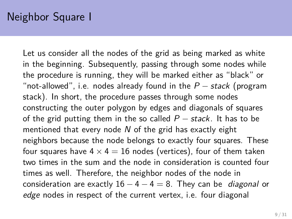Let us consider all the nodes of the grid as being marked as white in the beginning. Subsequently, passing through some nodes while the procedure is running, they will be marked either as "black" or "not-allowed", i.e. nodes already found in the  $P$  – stack (program stack). In short, the procedure passes through some nodes constructing the outer polygon by edges and diagonals of squares of the grid putting them in the so called  $P$  – stack. It has to be mentioned that every node  $N$  of the grid has exactly eight neighbors because the node belongs to exactly four squares. These four squares have  $4 \times 4 = 16$  nodes (vertices), four of them taken two times in the sum and the node in consideration is counted four times as well. Therefore, the neighbor nodes of the node in consideration are exactly  $16 - 4 - 4 = 8$ . They can be *diagonal* or edge nodes in respect of the current vertex, i.e. four diagonal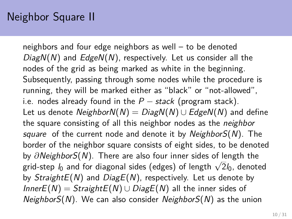## Neighbor Square II

neighbors and four edge neighbors as well – to be denoted  $DiagN(N)$  and  $EdgeN(N)$ , respectively. Let us consider all the nodes of the grid as being marked as white in the beginning. Subsequently, passing through some nodes while the procedure is running, they will be marked either as "black" or "not-allowed", i.e. nodes already found in the  $P$  – stack (program stack). Let us denote NeighborN(N) =  $DiagN(N) \cup EdgeN(N)$  and define the square consisting of all this neighbor nodes as the neighbor square of the current node and denote it by Neighbor $S(N)$ . The border of the neighbor square consists of eight sides, to be denoted by *∂*NeighborS(N). There are also four inner sides of length the by *Olveignbor* S(*N*). There are also four linner sldes of length the grid-step  $l_0$  and for diagonal sides (edges) of length  $\sqrt{2}l_0$ , denoted by  $StrajghtE(N)$  and  $DiagE(N)$ , respectively. Let us denote by  $InnerE(N) = StraightE(N) \cup DiagE(N)$  all the inner sides of  $NeighbourS(N)$ . We can also consider *NeighborS(N)* as the union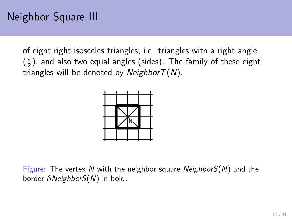## Neighbor Square III

of eight right isosceles triangles, i.e. triangles with a right angle  $\left(\frac{\pi}{2}\right)$  $\frac{\pi}{2}$ ), and also two equal angles (sides). The family of these eight triangles will be denoted by *NeighborT(N)*.



Figure: The vertex N with the neighbor square Neighbor $S(N)$  and the border *∂*NeighborS(N) in bold.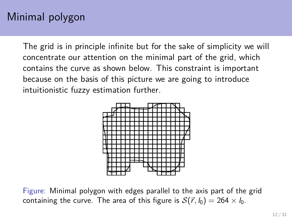# Minimal polygon

The grid is in principle infinite but for the sake of simplicity we will concentrate our attention on the minimal part of the grid, which contains the curve as shown below. This constraint is important because on the basis of this picture we are going to introduce intuitionistic fuzzy estimation further.



<span id="page-11-0"></span>Figure: Minimal polygon with edges parallel to the axis part of the grid containing the curve. The area of this figure is  $S(\vec{r}, l_0) = 264 \times l_0$ .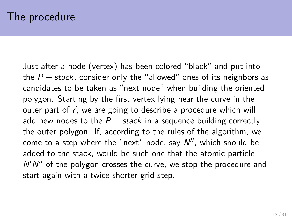Just after a node (vertex) has been colored "black" and put into the  $P -$  stack, consider only the "allowed" ones of its neighbors as candidates to be taken as "next node" when building the oriented polygon. Starting by the first vertex lying near the curve in the outer part of  $\vec{r}$ , we are going to describe a procedure which will add new nodes to the  $P$  – stack in a sequence building correctly the outer polygon. If, according to the rules of the algorithm, we come to a step where the "next" node, say  $N''$ , which should be added to the stack, would be such one that the atomic particle  $N'N''$  of the polygon crosses the curve, we stop the procedure and start again with a twice shorter grid-step.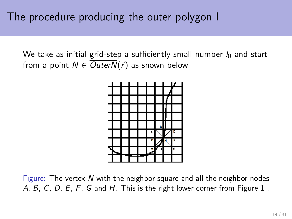We take as initial grid-step a sufficiently small number  $l_0$  and start from a point  $N \in \overline{OuterN}(\vec{r})$  as shown below



Figure: The vertex  $N$  with the neighbor square and all the neighbor nodes A, B, C, D, E, F, G and H. This is the right lower corner from Figure [1](#page-4-0).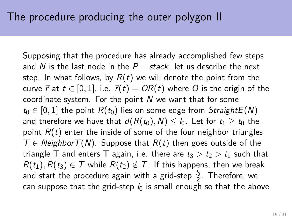Supposing that the procedure has already accomplished few steps and N is the last node in the  $P -$  stack, let us describe the next step. In what follows, by  $R(t)$  we will denote the point from the curve  $\vec{r}$  at  $t \in [0, 1]$ , i.e.  $\vec{r}(t) = OR(t)$  where O is the origin of the coordinate system. For the point  $N$  we want that for some  $t_0 \in [0, 1]$  the point  $R(t_0)$  lies on some edge from StraightE(N) and therefore we have that  $d(R(t_0), N) \leq l_0$ . Let for  $t_1 \geq t_0$  the point  $R(t)$  enter the inside of some of the four neighbor triangles  $T \in Neighbour(T(N))$ . Suppose that  $R(t)$  then goes outside of the triangle T and enters T again, i.e. there are  $t_3 > t_2 > t_1$  such that  $R(t_1), R(t_3) \in \mathcal{T}$  while  $R(t_2) \notin \mathcal{T}$ . If this happens, then we break and start the procedure again with a grid-step  $\frac{l_0}{2}.$  Therefore, we can suppose that the grid-step  $l_0$  is small enough so that the above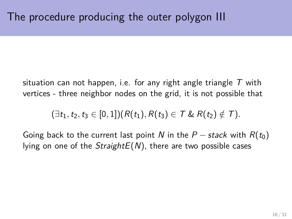situation can not happen, i.e. for any right angle triangle  $T$  with vertices - three neighbor nodes on the grid, it is not possible that

 $(\exists t_1, t_2, t_3 \in [0, 1])(R(t_1), R(t_3) \in T \& R(t_2) \notin T).$ 

Going back to the current last point N in the  $P$  – stack with  $R(t_0)$ lying on one of the  $StrajghtE(N)$ , there are two possible cases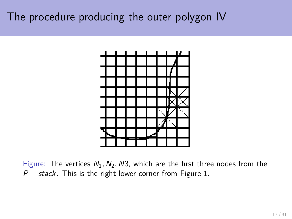## The procedure producing the outer polygon IV



Figure: The vertices  $N_1$ ,  $N_2$ ,  $N_3$ , which are the first three nodes from the  $P$  – stack. This is the right lower corner from Figure [1.](#page-4-0)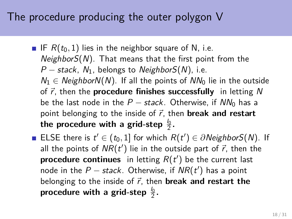The procedure producing the outer polygon V

- IF  $R(t_0, 1)$  lies in the neighbor square of N, i.e.  $NeighbourS(N)$ . That means that the first point from the  $P$  – stack,  $N_1$ , belongs to NeighborS(N), i.e.  $N_1 \in Neighbour(N)$ . If all the points of  $NN_0$  lie in the outside of  $\vec{r}$ , then the **procedure finishes successfully** in letting N be the last node in the  $P -$  stack. Otherwise, if  $NN_0$  has a point belonging to the inside of  $\vec{r}$ , then **break and restart** the procedure with a grid-step  $\frac{l_0}{2}$ .
- ELSE there is  $t' \in (t_0, 1]$  for which  $R(t') \in \partial Neighboursf(N)$ . If all the points of  $\mathit{NR}(t')$  lie in the outside part of  $\vec{r}$ , then the **procedure continues** in letting  $R(t')$  be the current last node in the  $P$  – stack. Otherwise, if  $\mathit{NR}(t')$  has a point belonging to the inside of  $\vec{r}$ , then **break and restart the** procedure with a grid-step  $\frac{l_0}{2}.$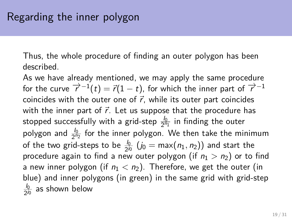Thus, the whole procedure of finding an outer polygon has been described.

As we have already mentioned, we may apply the same procedure for the curve  $\overrightarrow{r}^{-1}(t) = \overrightarrow{r}(1-t)$ , for which the inner part of  $\overrightarrow{r}^{-1}$ coincides with the outer one of  $\vec{r}$ , while its outer part coincides with the inner part of  $\vec{r}$ . Let us suppose that the procedure has stopped successfully with a grid-step  $\frac{l_0}{2^{n_1}}$  in finding the outer polygon and  $\frac{l_0}{2^{n_2}}$  for the inner polygon. We then take the minimum of the two grid-steps to be  $\frac{l_0}{2^{j_0}}$   $(j_0 = \max(n_1, n_2))$  and start the procedure again to find a new outer polygon (if  $n_1 > n_2$ ) or to find a new inner polygon (if  $n_1 < n_2$ ). Therefore, we get the outer (in blue) and inner polygons (in green) in the same grid with grid-step  $l_0$  $\frac{I_0}{2^{j_0}}$  as shown below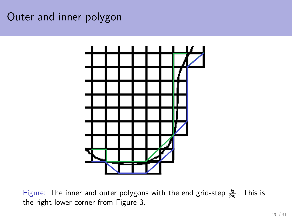### Outer and inner polygon



Figure: The inner and outer polygons with the end grid-step  $\frac{b}{2^{j_0}}$ . This is the right lower corner from Figure [3.](#page-11-0)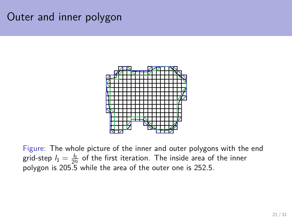### Outer and inner polygon



Figure: The whole picture of the inner and outer polygons with the end grid-step  $l_1=\frac{l_0}{2^{l_0}}$  of the first iteration. The inside area of the inner polygon is 205*.*5 while the area of the outer one is 252*.*5.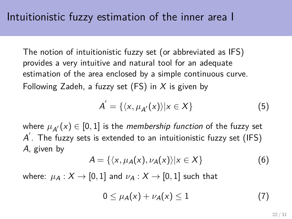The notion of intuitionistic fuzzy set (or abbreviated as IFS) provides a very intuitive and natural tool for an adequate estimation of the area enclosed by a simple continuous curve. Following Zadeh, a fuzzy set  $(FS)$  in X is given by

$$
A' = \{ \langle x, \mu_{A'}(x) \rangle | x \in X \}
$$
 (5)

where  $\mu_{A^{'}}(x) \in [0,1]$  is the *membership function* of the fuzzy set  $\overline{A}'$ . The fuzzy sets is extended to an intuitionistic fuzzy set (IFS) A, given by

$$
A = \{ \langle x, \mu_A(x), \nu_A(x) \rangle | x \in X \}
$$
 (6)

where:  $\mu_A: X \to [0,1]$  and  $\nu_A: X \to [0,1]$  such that

$$
0 \leq \mu_A(x) + \nu_A(x) \leq 1 \tag{7}
$$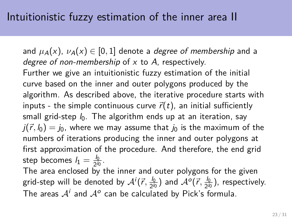and  $\mu_A(x)$ ,  $\nu_A(x) \in [0,1]$  denote a *degree of membership* and a degree of non-membership of  $x$  to  $A$ , respectively. Further we give an intuitionistic fuzzy estimation of the initial curve based on the inner and outer polygons produced by the algorithm. As described above, the iterative procedure starts with inputs - the simple continuous curve  $\vec{r}(t)$ , an initial sufficiently small grid-step  $l_0$ . The algorithm ends up at an iteration, say  $j(\vec{r}, l_0) = j_0$ , where we may assume that  $j_0$  is the maximum of the numbers of iterations producing the inner and outer polygons at first approximation of the procedure. And therefore, the end grid step becomes  $l_1=\frac{l_0}{2l_0}$  $rac{I_0}{2^{j_0}}$ .

The area enclosed by the inner and outer polygons for the given grid-step will be denoted by  $\mathcal{A}^{i}(\vec{r}, \frac{I_{0}}{2\pi i})$  $\frac{l_0}{2^{j_0}}$ ) and  $\mathcal{A}^o(\vec{r},\frac{l_0}{2^{j_0}})$  $\frac{I_0}{2^{j_0}}$ ), respectively. The areas  $\mathcal{A}^i$  and  $\mathcal{A}^o$  can be calculated by Pick's formula.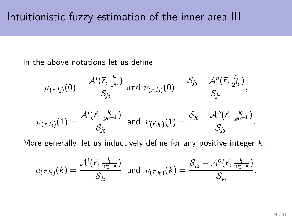In the above notations let us define

$$
\mu_{(\vec{r},l_0)}(0)=\frac{\mathcal{A}^i(\vec{r},\frac{l_0}{2^{j_0}})}{\mathcal{S}_{j_0}} \text{ and } \nu_{(\vec{r},l_0)}(0)=\frac{\mathcal{S}_{j_0}-\mathcal{A}^o(\vec{r},\frac{l_0}{2^{j_0}})}{\mathcal{S}_{j_0}},\\\mu_{(\vec{r},l_0)}(1)=\frac{\mathcal{A}^i(\vec{r},\frac{l_0}{2^{j_0+1}})}{\mathcal{S}_{j_0}} \text{ and } \nu_{(\vec{r},l_0)}(1)=\frac{\mathcal{S}_{j_0}-\mathcal{A}^o(\vec{r},\frac{l_0}{2^{j_0+1}})}{\mathcal{S}_{j_0}}.
$$

More generally, let us inductively define for any positive integer  $k$ ,

$$
\mu_{(\vec{r},l_0)}(k)=\frac{\mathcal{A}^i(\vec{r},\frac{l_0}{2^{j_0+k}})}{\mathcal{S}_{j_0}} \text{ and } \nu_{(\vec{r},l_0)}(k)=\frac{\mathcal{S}_{j_0}-\mathcal{A}^o(\vec{r},\frac{l_0}{2^{j_0+k}})}{\mathcal{S}_{j_0}}.
$$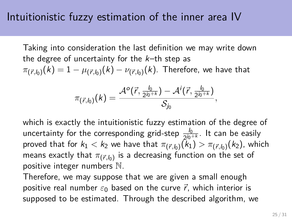Taking into consideration the last definition we may write down the degree of uncertainty for the  $k$ -th step as  $\pi_{(\vec{r},l_0)}(k)=1-\mu_{(\vec{r},l_0)}(k)-\nu_{(\vec{r},l_0)}(k).$  Therefore, we have that

$$
\pi_{(\vec{r},l_0)}(k)=\frac{\mathcal{A}^o(\vec{r},\frac{l_0}{2^{j_0+k}})-\mathcal{A}^i(\vec{r},\frac{l_0}{2^{j_0+k}})}{\mathcal{S}_{j_0}},
$$

which is exactly the intuitionistic fuzzy estimation of the degree of uncertainty for the corresponding grid-step  $\frac{I_0}{2^{j_0+k}}$ . It can be easily proved that for  $k_1 < k_2$  we have that  $\pi_{(\vec{r},b_0)}(k_1) > \pi_{(\vec{r},b_0)}(k_2)$ , which means exactly that  $\pi_{(\vec{r},b_0)}$  is a decreasing function on the set of positive integer numbers N.

Therefore, we may suppose that we are given a small enough positive real number  $\varepsilon_0$  based on the curve  $\vec{r}$ , which interior is supposed to be estimated. Through the described algorithm, we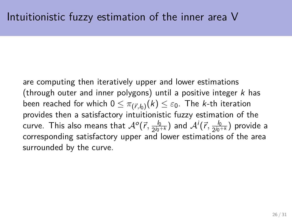are computing then iteratively upper and lower estimations (through outer and inner polygons) until a positive integer  $k$  has been reached for which  $0 \leq \pi_{(\vec{r},b)}(k) \leq \varepsilon_0.$  The *k*-th iteration provides then a satisfactory intuitionistic fuzzy estimation of the curve. This also means that  $\mathcal{A}^o(\vec{r}, \frac{I_0}{2^{j_0}})$  $\frac{l_0}{2^{j_0+k}})$  and  $\mathcal{A}^i(\vec{r}, \frac{l_0}{2^{j_0}})$  $\frac{l_0}{2^{j_0+k}}$ ) provide a corresponding satisfactory upper and lower estimations of the area surrounded by the curve.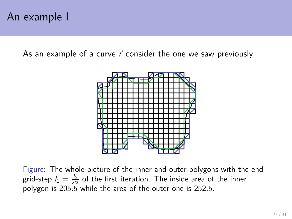### An example I

As an example of a curve  $\vec{r}$  consider the one we saw previously



Figure: The whole picture of the inner and outer polygons with the end grid-step  $l_1=\frac{l_0}{2^{l_0}}$  of the first iteration. The inside area of the inner polygon is 205*.*5 while the area of the outer one is 252*.*5.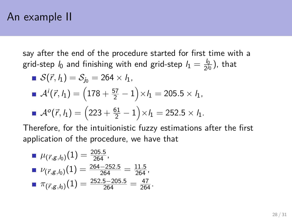### An example II

say after the end of the procedure started for first time with a grid-step  $l_0$  and finishing with end grid-step  $l_1=\frac{l_0}{2^{j_0}}$  $\frac{I_0}{2^{j_0}}$ ), that

■ 
$$
S(\vec{r}, h_1) = S_{j_0} = 264 \times h_1
$$
,  
\n■  $A^i(\vec{r}, h_1) = (178 + \frac{57}{2} - 1) \times h_1 = 205.5 \times h_1$ ,  
\n■  $A^o(\vec{r}, h_1) = (223 + \frac{61}{2} - 1) \times h_1 = 252.5 \times h_1$ .

Therefore, for the intuitionistic fuzzy estimations after the first application of the procedure, we have that

\n- ■ 
$$
\mu_{(\vec{r},g,\mathit{l}_0)}(1) = \frac{205.5}{264}
$$
,
\n- ■  $\nu_{(\vec{r},g,\mathit{l}_0)}(1) = \frac{264 - 252.5}{264} = \frac{11.5}{264}$ ,
\n- ■  $\pi_{(\vec{r},g,\mathit{l}_0)}(1) = \frac{252.5 - 205.5}{264} = \frac{47}{264}$ .
\n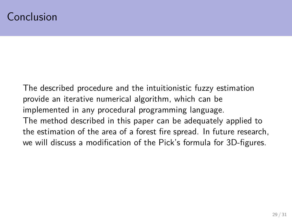#### Conclusion

The described procedure and the intuitionistic fuzzy estimation provide an iterative numerical algorithm, which can be implemented in any procedural programming language. The method described in this paper can be adequately applied to the estimation of the area of a forest fire spread. In future research, we will discuss a modification of the Pick's formula for 3D-figures.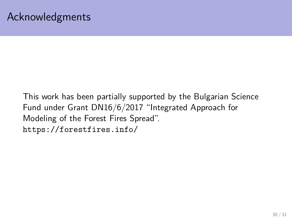This work has been partially supported by the Bulgarian Science Fund under Grant DN16/6/2017 "Integrated Approach for Modeling of the Forest Fires Spread". <https://forestfires.info/>